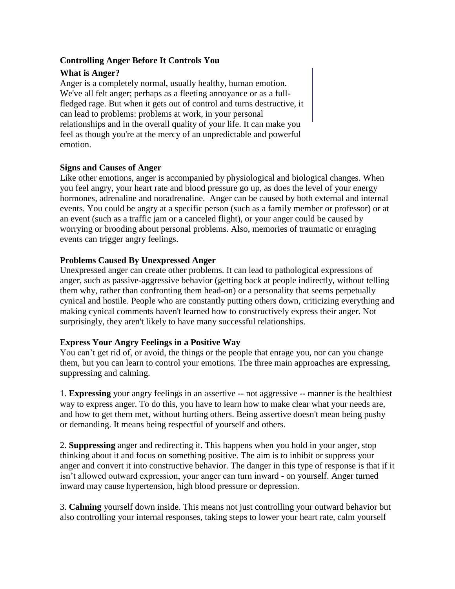### **Controlling Anger Before It Controls You**

## **What is Anger?**

Anger is a completely normal, usually healthy, human emotion. We've all felt anger; perhaps as a fleeting annoyance or as a fullfledged rage. But when it gets out of control and turns destructive, it can lead to problems: problems at work, in your personal relationships and in the overall quality of your life. It can make you feel as though you're at the mercy of an unpredictable and powerful emotion.

### **Signs and Causes of Anger**

Like other emotions, anger is accompanied by physiological and biological changes. When you feel angry, your heart rate and blood pressure go up, as does the level of your energy hormones, adrenaline and noradrenaline. Anger can be caused by both external and internal events. You could be angry at a specific person (such as a family member or professor) or at an event (such as a traffic jam or a canceled flight), or your anger could be caused by worrying or brooding about personal problems. Also, memories of traumatic or enraging events can trigger angry feelings.

### **Problems Caused By Unexpressed Anger**

Unexpressed anger can create other problems. It can lead to pathological expressions of anger, such as passive-aggressive behavior (getting back at people indirectly, without telling them why, rather than confronting them head-on) or a personality that seems perpetually cynical and hostile. People who are constantly putting others down, criticizing everything and making cynical comments haven't learned how to constructively express their anger. Not surprisingly, they aren't likely to have many successful relationships.

# **Express Your Angry Feelings in a Positive Way**

You can't get rid of, or avoid, the things or the people that enrage you, nor can you change them, but you can learn to control your emotions. The three main approaches are expressing, suppressing and calming.

1. **Expressing** your angry feelings in an assertive -- not aggressive -- manner is the healthiest way to express anger. To do this, you have to learn how to make clear what your needs are, and how to get them met, without hurting others. Being assertive doesn't mean being pushy or demanding. It means being respectful of yourself and others.

2. **Suppressing** anger and redirecting it. This happens when you hold in your anger, stop thinking about it and focus on something positive. The aim is to inhibit or suppress your anger and convert it into constructive behavior. The danger in this type of response is that if it isn't allowed outward expression, your anger can turn inward - on yourself. Anger turned inward may cause hypertension, high blood pressure or depression.

3. **Calming** yourself down inside. This means not just controlling your outward behavior but also controlling your internal responses, taking steps to lower your heart rate, calm yourself